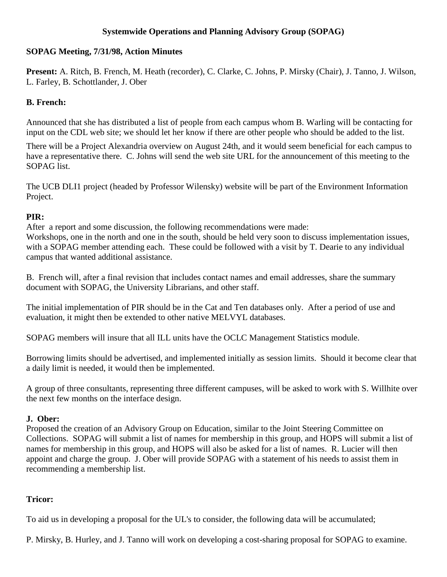## **Systemwide Operations and Planning Advisory Group (SOPAG)**

### **SOPAG Meeting, 7/31/98, Action Minutes**

**Present:** A. Ritch, B. French, M. Heath (recorder), C. Clarke, C. Johns, P. Mirsky (Chair), J. Tanno, J. Wilson, L. Farley, B. Schottlander, J. Ober

### **B. French:**

Announced that she has distributed a list of people from each campus whom B. Warling will be contacting for input on the CDL web site; we should let her know if there are other people who should be added to the list.

There will be a Project Alexandria overview on August 24th, and it would seem beneficial for each campus to have a representative there. C. Johns will send the web site URL for the announcement of this meeting to the SOPAG list.

The UCB DLI1 project (headed by Professor Wilensky) website will be part of the Environment Information Project.

## **PIR:**

After a report and some discussion, the following recommendations were made: Workshops, one in the north and one in the south, should be held very soon to discuss implementation issues, with a SOPAG member attending each. These could be followed with a visit by T. Dearie to any individual campus that wanted additional assistance.

B. French will, after a final revision that includes contact names and email addresses, share the summary document with SOPAG, the University Librarians, and other staff.

The initial implementation of PIR should be in the Cat and Ten databases only. After a period of use and evaluation, it might then be extended to other native MELVYL databases.

SOPAG members will insure that all ILL units have the OCLC Management Statistics module.

Borrowing limits should be advertised, and implemented initially as session limits. Should it become clear that a daily limit is needed, it would then be implemented.

A group of three consultants, representing three different campuses, will be asked to work with S. Willhite over the next few months on the interface design.

# **J. Ober:**

Proposed the creation of an Advisory Group on Education, similar to the Joint Steering Committee on Collections. SOPAG will submit a list of names for membership in this group, and HOPS will submit a list of names for membership in this group, and HOPS will also be asked for a list of names. R. Lucier will then appoint and charge the group. J. Ober will provide SOPAG with a statement of his needs to assist them in recommending a membership list.

# **Tricor:**

To aid us in developing a proposal for the UL's to consider, the following data will be accumulated;

P. Mirsky, B. Hurley, and J. Tanno will work on developing a cost-sharing proposal for SOPAG to examine.